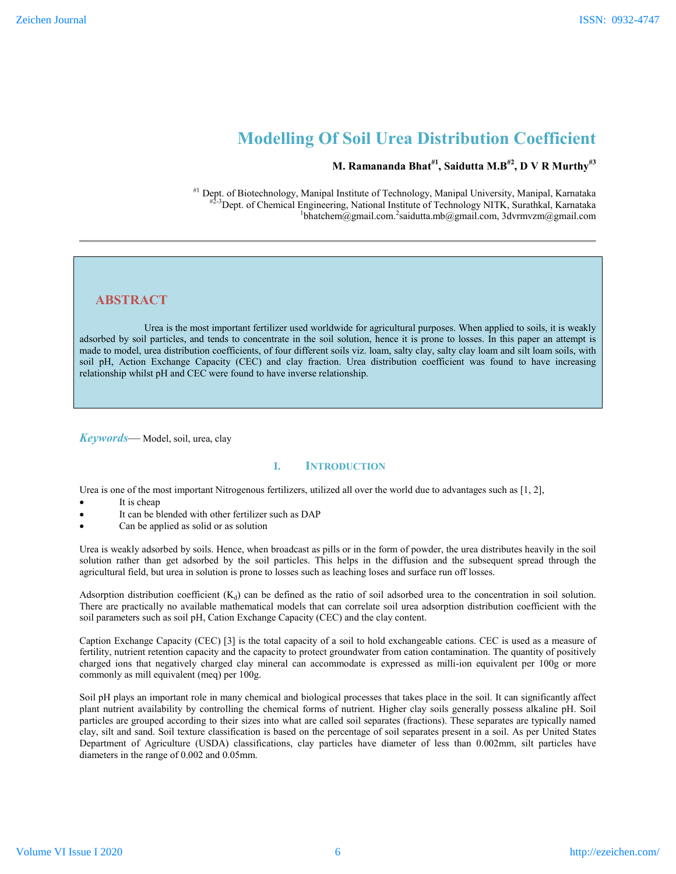# **Modelling Of Soil Urea Distribution Coefficient**

# **M. Ramananda Bhat#1, Saidutta M.B#2 , D V R Murthy#3**

#1 Dept. of Biotechnology, Manipal Institute of Technology, Manipal University, Manipal, Karnataka <sup>3</sup>Dept. of Chemical Engineering, National Institute of Technology NITK, Surathkal, Karnataka bhatchem@gmail.com. 2 saidutta.mb@gmail.com, 3dvrmvzm@gmail.com

# **ABSTRACT**

 Urea is the most important fertilizer used worldwide for agricultural purposes. When applied to soils, it is weakly adsorbed by soil particles, and tends to concentrate in the soil solution, hence it is prone to losses. In this paper an attempt is made to model, urea distribution coefficients, of four different soils viz. loam, salty clay, salty clay loam and silt loam soils, with soil pH, Action Exchange Capacity (CEC) and clay fraction. Urea distribution coefficient was found to have increasing relationship whilst pH and CEC were found to have inverse relationship.

*Keywords*— Model, soil, urea, clay

## **I. INTRODUCTION**

Urea is one of the most important Nitrogenous fertilizers, utilized all over the world due to advantages such as [1, 2],

- It is cheap
- It can be blended with other fertilizer such as DAP
- Can be applied as solid or as solution

Urea is weakly adsorbed by soils. Hence, when broadcast as pills or in the form of powder, the urea distributes heavily in the soil solution rather than get adsorbed by the soil particles. This helps in the diffusion and the subsequent spread through the agricultural field, but urea in solution is prone to losses such as leaching loses and surface run off losses.

Adsorption distribution coefficient  $(K_d)$  can be defined as the ratio of soil adsorbed urea to the concentration in soil solution. There are practically no available mathematical models that can correlate soil urea adsorption distribution coefficient with the soil parameters such as soil pH, Cation Exchange Capacity (CEC) and the clay content.

Caption Exchange Capacity (CEC) [3] is the total capacity of a soil to hold exchangeable cations. CEC is used as a measure of fertility, nutrient retention capacity and the capacity to protect groundwater from cation contamination. The quantity of positively charged ions that negatively charged clay mineral can accommodate is expressed as milli-ion equivalent per 100g or more commonly as mill equivalent (meq) per 100g.

Soil pH plays an important role in many chemical and biological processes that takes place in the soil. It can significantly affect plant nutrient availability by controlling the chemical forms of nutrient. Higher clay soils generally possess alkaline pH. Soil particles are grouped according to their sizes into what are called soil separates (fractions). These separates are typically named clay, silt and sand. Soil texture classification is based on the percentage of soil separates present in a soil. As per United States Department of Agriculture (USDA) classifications, clay particles have diameter of less than 0.002mm, silt particles have diameters in the range of 0.002 and 0.05mm.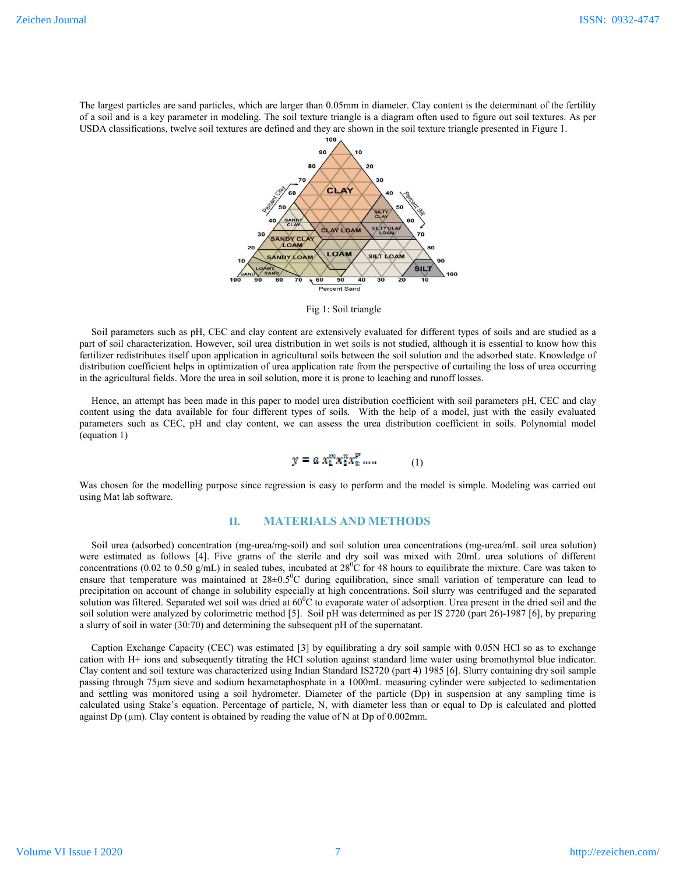The largest particles are sand particles, which are larger than 0.05mm in diameter. Clay content is the determinant of the fertility of a soil and is a key parameter in modeling. The soil texture triangle is a diagram often used to figure out soil textures. As per USDA classifications, twelve soil textures are defined and they are shown in the soil texture triangle presented in Figure 1.



Fig 1: Soil triangle

Soil parameters such as pH, CEC and clay content are extensively evaluated for different types of soils and are studied as a part of soil characterization. However, soil urea distribution in wet soils is not studied, although it is essential to know how this fertilizer redistributes itself upon application in agricultural soils between the soil solution and the adsorbed state. Knowledge of distribution coefficient helps in optimization of urea application rate from the perspective of curtailing the loss of urea occurring in the agricultural fields. More the urea in soil solution, more it is prone to leaching and runoff losses.

Hence, an attempt has been made in this paper to model urea distribution coefficient with soil parameters pH, CEC and clay content using the data available for four different types of soils. With the help of a model, just with the easily evaluated parameters such as CEC, pH and clay content, we can assess the urea distribution coefficient in soils. Polynomial model (equation 1)

$$
y = a x_1^m x_2^n x_3^p \dots \tag{1}
$$

Was chosen for the modelling purpose since regression is easy to perform and the model is simple. Modeling was carried out using Mat lab software.

## **II. MATERIALS AND METHODS**

Soil urea (adsorbed) concentration (mg-urea/mg-soil) and soil solution urea concentrations (mg-urea/mL soil urea solution) were estimated as follows [4]. Five grams of the sterile and dry soil was mixed with 20mL urea solutions of different concentrations (0.02 to 0.50 g/mL) in sealed tubes, incubated at  $28^{\circ}$ C for 48 hours to equilibrate the mixture. Care was taken to ensure that temperature was maintained at  $28\pm0.5^{\circ}$ C during equilibration, since small variation of temperature can lead to precipitation on account of change in solubility especially at high concentrations. Soil slurry was centrifuged and the separated solution was filtered. Separated wet soil was dried at  $60^0$ C to evaporate water of adsorption. Urea present in the dried soil and the soil solution were analyzed by colorimetric method [5]. Soil pH was determined as per IS 2720 (part 26)-1987 [6], by preparing a slurry of soil in water (30:70) and determining the subsequent pH of the supernatant.

Caption Exchange Capacity (CEC) was estimated [3] by equilibrating a dry soil sample with 0.05N HCl so as to exchange cation with H+ ions and subsequently titrating the HCl solution against standard lime water using bromothymol blue indicator. Clay content and soil texture was characterized using Indian Standard IS2720 (part 4) 1985 [6]. Slurry containing dry soil sample passing through 75µm sieve and sodium hexametaphosphate in a 1000mL measuring cylinder were subjected to sedimentation and settling was monitored using a soil hydrometer. Diameter of the particle (Dp) in suspension at any sampling time is calculated using Stake's equation. Percentage of particle, N, with diameter less than or equal to Dp is calculated and plotted against Dp ( $\mu$ m). Clay content is obtained by reading the value of N at Dp of 0.002mm.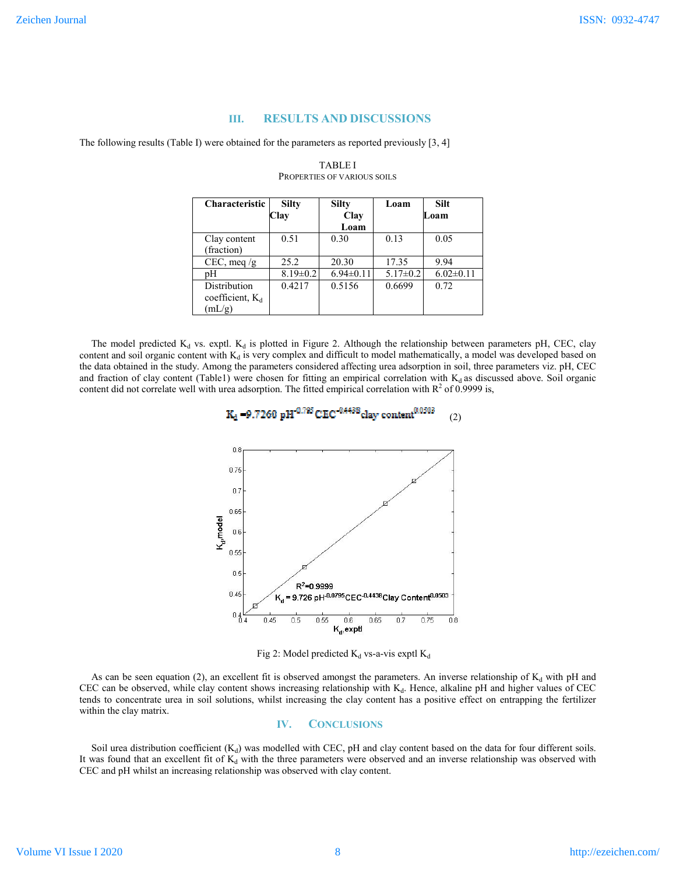#### **III. RESULTS AND DISCUSSIONS**

The following results (Table I) were obtained for the parameters as reported previously [3, 4]

| Characteristic                               | <b>Silty</b><br>Clay | <b>Silty</b><br>Clay<br>Loam | Loam           | <b>Silt</b><br>Loam |
|----------------------------------------------|----------------------|------------------------------|----------------|---------------------|
| Clay content<br>(fraction)                   | 0.51                 | 0.30                         | 0.13           | 0.05                |
| $CEC$ , meq /g                               | 25.2                 | 20.30                        | 17.35          | 9.94                |
| pН                                           | $8.19 \pm 0.2$       | $6.94 \pm 0.11$              | $5.17 \pm 0.2$ | $6.02 \pm 0.11$     |
| Distribution<br>coefficient, $K_d$<br>(mL/g) | 0.4217               | 0.5156                       | 0.6699         | 0.72                |

#### TABLE I PROPERTIES OF VARIOUS SOILS

The model predicted  $K_d$  vs. exptl.  $K_d$  is plotted in Figure 2. Although the relationship between parameters pH, CEC, clay content and soil organic content with  $K_d$  is very complex and difficult to model mathematically, a model was developed based on the data obtained in the study. Among the parameters considered affecting urea adsorption in soil, three parameters viz. pH, CEC and fraction of clay content (Table1) were chosen for fitting an empirical correlation with  $K_d$  as discussed above. Soil organic content did not correlate well with urea adsorption. The fitted empirical correlation with  $R<sup>2</sup>$  of 0.9999 is,

 $K_d = 9.7260 \text{ pH}^{0.795} \text{CEC}^{-0.4438} \text{clay content}^{0.0303}$  (2)



Fig 2: Model predicted  $K_d$  vs-a-vis exptl  $K_d$ 

As can be seen equation (2), an excellent fit is observed amongst the parameters. An inverse relationship of  $K_d$  with pH and CEC can be observed, while clay content shows increasing relationship with K<sub>d</sub>. Hence, alkaline pH and higher values of CEC tends to concentrate urea in soil solutions, whilst increasing the clay content has a positive effect on entrapping the fertilizer within the clay matrix.

#### **IV. CONCLUSIONS**

Soil urea distribution coefficient  $(K_d)$  was modelled with CEC, pH and clay content based on the data for four different soils. It was found that an excellent fit of  $K_d$  with the three parameters were observed and an inverse relationship was observed with CEC and pH whilst an increasing relationship was observed with clay content.